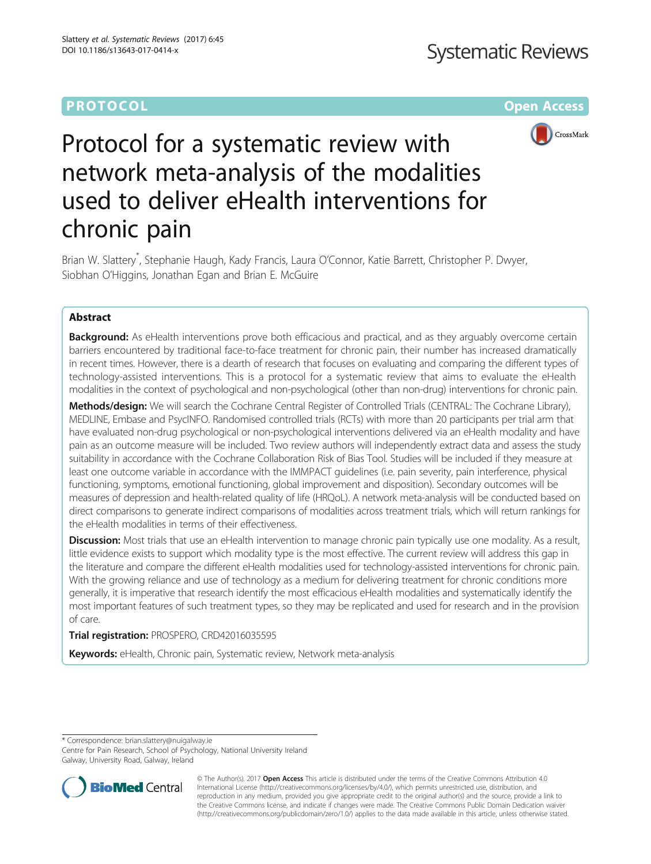# **PROTOCOL CONSUMING THE CONSUMING TEACHER CONSUMING THE CONSUMING TEACHER CONSUMING THE CONSUMING TEACHER CONSUMING**



# Protocol for a systematic review with network meta-analysis of the modalities used to deliver eHealth interventions for chronic pain

Brian W. Slattery<sup>\*</sup>, Stephanie Haugh, Kady Francis, Laura O'Connor, Katie Barrett, Christopher P. Dwyer, Siobhan O'Higgins, Jonathan Egan and Brian E. McGuire

# Abstract

**Background:** As eHealth interventions prove both efficacious and practical, and as they arguably overcome certain barriers encountered by traditional face-to-face treatment for chronic pain, their number has increased dramatically in recent times. However, there is a dearth of research that focuses on evaluating and comparing the different types of technology-assisted interventions. This is a protocol for a systematic review that aims to evaluate the eHealth modalities in the context of psychological and non-psychological (other than non-drug) interventions for chronic pain.

Methods/design: We will search the Cochrane Central Register of Controlled Trials (CENTRAL: The Cochrane Library), MEDLINE, Embase and PsycINFO. Randomised controlled trials (RCTs) with more than 20 participants per trial arm that have evaluated non-drug psychological or non-psychological interventions delivered via an eHealth modality and have pain as an outcome measure will be included. Two review authors will independently extract data and assess the study suitability in accordance with the Cochrane Collaboration Risk of Bias Tool. Studies will be included if they measure at least one outcome variable in accordance with the IMMPACT guidelines (i.e. pain severity, pain interference, physical functioning, symptoms, emotional functioning, global improvement and disposition). Secondary outcomes will be measures of depression and health-related quality of life (HRQoL). A network meta-analysis will be conducted based on direct comparisons to generate indirect comparisons of modalities across treatment trials, which will return rankings for the eHealth modalities in terms of their effectiveness.

Discussion: Most trials that use an eHealth intervention to manage chronic pain typically use one modality. As a result, little evidence exists to support which modality type is the most effective. The current review will address this gap in the literature and compare the different eHealth modalities used for technology-assisted interventions for chronic pain. With the growing reliance and use of technology as a medium for delivering treatment for chronic conditions more generally, it is imperative that research identify the most efficacious eHealth modalities and systematically identify the most important features of such treatment types, so they may be replicated and used for research and in the provision of care.

# Trial registration: PROSPERO, [CRD42016035595](https://www.crd.york.ac.uk/PROSPERO/display_record.asp?ID=CRD42016035595)

Keywords: eHealth, Chronic pain, Systematic review, Network meta-analysis

\* Correspondence: [brian.slattery@nuigalway.ie](mailto:brian.slattery@nuigalway.ie)

Centre for Pain Research, School of Psychology, National University Ireland Galway, University Road, Galway, Ireland



© The Author(s). 2017 **Open Access** This article is distributed under the terms of the Creative Commons Attribution 4.0 International License [\(http://creativecommons.org/licenses/by/4.0/](http://creativecommons.org/licenses/by/4.0/)), which permits unrestricted use, distribution, and reproduction in any medium, provided you give appropriate credit to the original author(s) and the source, provide a link to the Creative Commons license, and indicate if changes were made. The Creative Commons Public Domain Dedication waiver [\(http://creativecommons.org/publicdomain/zero/1.0/](http://creativecommons.org/publicdomain/zero/1.0/)) applies to the data made available in this article, unless otherwise stated.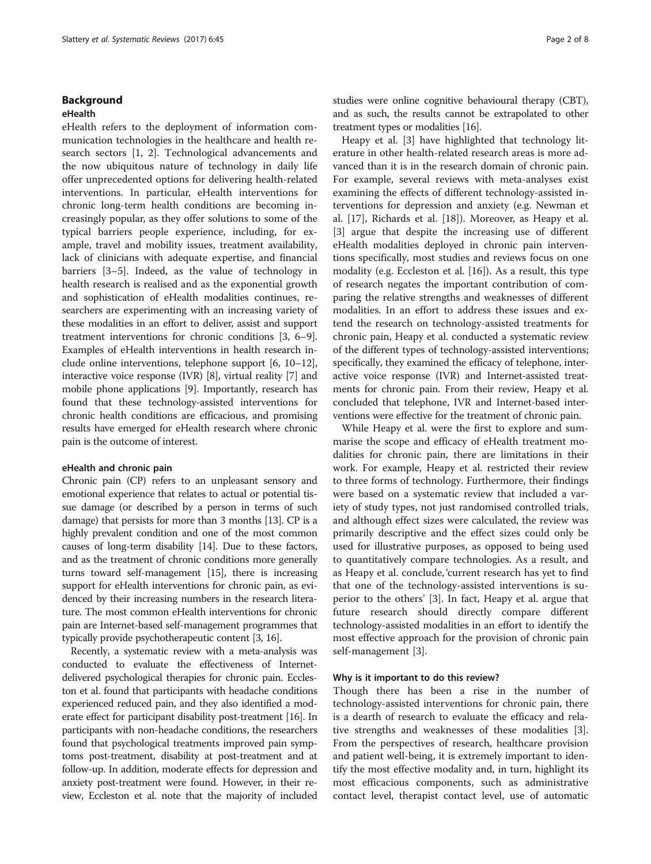# Background

## eHealth

eHealth refers to the deployment of information communication technologies in the healthcare and health research sectors [[1, 2\]](#page-7-0). Technological advancements and the now ubiquitous nature of technology in daily life offer unprecedented options for delivering health-related interventions. In particular, eHealth interventions for chronic long-term health conditions are becoming increasingly popular, as they offer solutions to some of the typical barriers people experience, including, for example, travel and mobility issues, treatment availability, lack of clinicians with adequate expertise, and financial barriers [[3](#page-7-0)–[5\]](#page-7-0). Indeed, as the value of technology in health research is realised and as the exponential growth and sophistication of eHealth modalities continues, researchers are experimenting with an increasing variety of these modalities in an effort to deliver, assist and support treatment interventions for chronic conditions [\[3](#page-7-0), [6](#page-7-0)–[9](#page-7-0)]. Examples of eHealth interventions in health research include online interventions, telephone support [[6](#page-7-0), [10](#page-7-0)–[12](#page-7-0)], interactive voice response (IVR) [[8\]](#page-7-0), virtual reality [[7](#page-7-0)] and mobile phone applications [\[9\]](#page-7-0). Importantly, research has found that these technology-assisted interventions for chronic health conditions are efficacious, and promising results have emerged for eHealth research where chronic pain is the outcome of interest.

#### eHealth and chronic pain

Chronic pain (CP) refers to an unpleasant sensory and emotional experience that relates to actual or potential tissue damage (or described by a person in terms of such damage) that persists for more than 3 months [\[13\]](#page-7-0). CP is a highly prevalent condition and one of the most common causes of long-term disability [[14](#page-7-0)]. Due to these factors, and as the treatment of chronic conditions more generally turns toward self-management [[15](#page-7-0)], there is increasing support for eHealth interventions for chronic pain, as evidenced by their increasing numbers in the research literature. The most common eHealth interventions for chronic pain are Internet-based self-management programmes that typically provide psychotherapeutic content [\[3, 16\]](#page-7-0).

Recently, a systematic review with a meta-analysis was conducted to evaluate the effectiveness of Internetdelivered psychological therapies for chronic pain. Eccleston et al. found that participants with headache conditions experienced reduced pain, and they also identified a moderate effect for participant disability post-treatment [[16](#page-7-0)]. In participants with non-headache conditions, the researchers found that psychological treatments improved pain symptoms post-treatment, disability at post-treatment and at follow-up. In addition, moderate effects for depression and anxiety post-treatment were found. However, in their review, Eccleston et al. note that the majority of included studies were online cognitive behavioural therapy (CBT), and as such, the results cannot be extrapolated to other treatment types or modalities [\[16\]](#page-7-0).

Heapy et al. [[3\]](#page-7-0) have highlighted that technology literature in other health-related research areas is more advanced than it is in the research domain of chronic pain. For example, several reviews with meta-analyses exist examining the effects of different technology-assisted interventions for depression and anxiety (e.g. Newman et al. [\[17\]](#page-7-0), Richards et al. [[18](#page-7-0)]). Moreover, as Heapy et al. [[3\]](#page-7-0) argue that despite the increasing use of different eHealth modalities deployed in chronic pain interventions specifically, most studies and reviews focus on one modality (e.g. Eccleston et al. [[16](#page-7-0)]). As a result, this type of research negates the important contribution of comparing the relative strengths and weaknesses of different modalities. In an effort to address these issues and extend the research on technology-assisted treatments for chronic pain, Heapy et al. conducted a systematic review of the different types of technology-assisted interventions; specifically, they examined the efficacy of telephone, interactive voice response (IVR) and Internet-assisted treatments for chronic pain. From their review, Heapy et al. concluded that telephone, IVR and Internet-based interventions were effective for the treatment of chronic pain.

While Heapy et al. were the first to explore and summarise the scope and efficacy of eHealth treatment modalities for chronic pain, there are limitations in their work. For example, Heapy et al. restricted their review to three forms of technology. Furthermore, their findings were based on a systematic review that included a variety of study types, not just randomised controlled trials, and although effect sizes were calculated, the review was primarily descriptive and the effect sizes could only be used for illustrative purposes, as opposed to being used to quantitatively compare technologies. As a result, and as Heapy et al. conclude, 'current research has yet to find that one of the technology-assisted interventions is superior to the others' [[3\]](#page-7-0). In fact, Heapy et al. argue that future research should directly compare different technology-assisted modalities in an effort to identify the most effective approach for the provision of chronic pain self-management [[3\]](#page-7-0).

#### Why is it important to do this review?

Though there has been a rise in the number of technology-assisted interventions for chronic pain, there is a dearth of research to evaluate the efficacy and relative strengths and weaknesses of these modalities [\[3](#page-7-0)]. From the perspectives of research, healthcare provision and patient well-being, it is extremely important to identify the most effective modality and, in turn, highlight its most efficacious components, such as administrative contact level, therapist contact level, use of automatic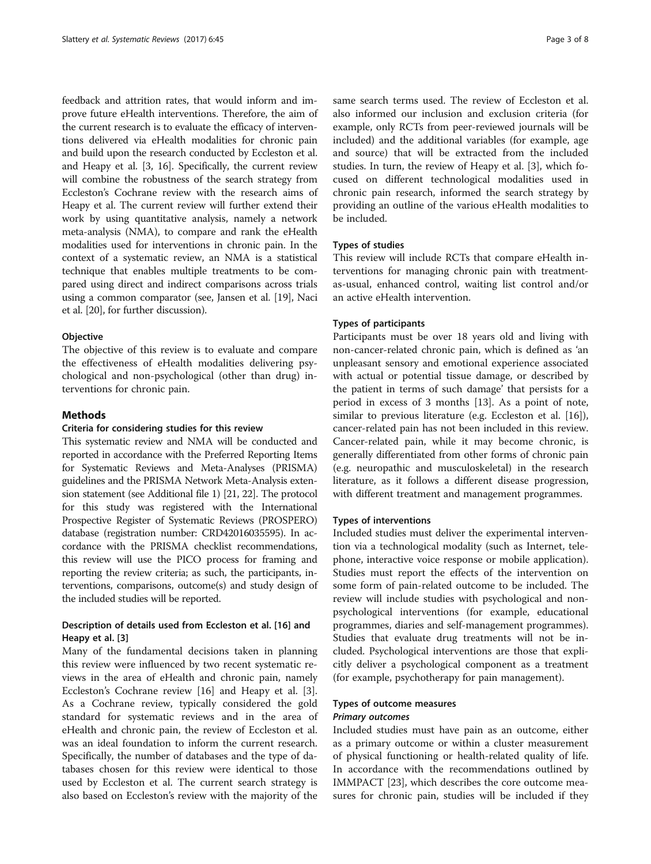feedback and attrition rates, that would inform and improve future eHealth interventions. Therefore, the aim of the current research is to evaluate the efficacy of interventions delivered via eHealth modalities for chronic pain and build upon the research conducted by Eccleston et al. and Heapy et al. [\[3](#page-7-0), [16\]](#page-7-0). Specifically, the current review will combine the robustness of the search strategy from Eccleston's Cochrane review with the research aims of Heapy et al. The current review will further extend their work by using quantitative analysis, namely a network meta-analysis (NMA), to compare and rank the eHealth modalities used for interventions in chronic pain. In the context of a systematic review, an NMA is a statistical technique that enables multiple treatments to be compared using direct and indirect comparisons across trials using a common comparator (see, Jansen et al. [[19\]](#page-7-0), Naci et al. [\[20\]](#page-7-0), for further discussion).

#### **Objective**

The objective of this review is to evaluate and compare the effectiveness of eHealth modalities delivering psychological and non-psychological (other than drug) interventions for chronic pain.

# Methods

#### Criteria for considering studies for this review

This systematic review and NMA will be conducted and reported in accordance with the Preferred Reporting Items for Systematic Reviews and Meta-Analyses (PRISMA) guidelines and the PRISMA Network Meta-Analysis extension statement (see Additional file [1\)](#page-6-0) [\[21, 22](#page-7-0)]. The protocol for this study was registered with the International Prospective Register of Systematic Reviews (PROSPERO) database (registration number: CRD42016035595). In accordance with the PRISMA checklist recommendations, this review will use the PICO process for framing and reporting the review criteria; as such, the participants, interventions, comparisons, outcome(s) and study design of the included studies will be reported.

# Description of details used from Eccleston et al. [[16\]](#page-7-0) and Heapy et al. [[3\]](#page-7-0)

Many of the fundamental decisions taken in planning this review were influenced by two recent systematic reviews in the area of eHealth and chronic pain, namely Eccleston's Cochrane review [\[16](#page-7-0)] and Heapy et al. [\[3](#page-7-0)]. As a Cochrane review, typically considered the gold standard for systematic reviews and in the area of eHealth and chronic pain, the review of Eccleston et al. was an ideal foundation to inform the current research. Specifically, the number of databases and the type of databases chosen for this review were identical to those used by Eccleston et al. The current search strategy is also based on Eccleston's review with the majority of the same search terms used. The review of Eccleston et al. also informed our inclusion and exclusion criteria (for example, only RCTs from peer-reviewed journals will be included) and the additional variables (for example, age and source) that will be extracted from the included studies. In turn, the review of Heapy et al. [[3\]](#page-7-0), which focused on different technological modalities used in chronic pain research, informed the search strategy by providing an outline of the various eHealth modalities to be included.

# Types of studies

This review will include RCTs that compare eHealth interventions for managing chronic pain with treatmentas-usual, enhanced control, waiting list control and/or an active eHealth intervention.

#### Types of participants

Participants must be over 18 years old and living with non-cancer-related chronic pain, which is defined as 'an unpleasant sensory and emotional experience associated with actual or potential tissue damage, or described by the patient in terms of such damage' that persists for a period in excess of 3 months [\[13\]](#page-7-0). As a point of note, similar to previous literature (e.g. Eccleston et al. [\[16](#page-7-0)]), cancer-related pain has not been included in this review. Cancer-related pain, while it may become chronic, is generally differentiated from other forms of chronic pain (e.g. neuropathic and musculoskeletal) in the research literature, as it follows a different disease progression, with different treatment and management programmes.

## Types of interventions

Included studies must deliver the experimental intervention via a technological modality (such as Internet, telephone, interactive voice response or mobile application). Studies must report the effects of the intervention on some form of pain-related outcome to be included. The review will include studies with psychological and nonpsychological interventions (for example, educational programmes, diaries and self-management programmes). Studies that evaluate drug treatments will not be included. Psychological interventions are those that explicitly deliver a psychological component as a treatment (for example, psychotherapy for pain management).

# Types of outcome measures Primary outcomes

Included studies must have pain as an outcome, either as a primary outcome or within a cluster measurement of physical functioning or health-related quality of life. In accordance with the recommendations outlined by IMMPACT [[23](#page-7-0)], which describes the core outcome measures for chronic pain, studies will be included if they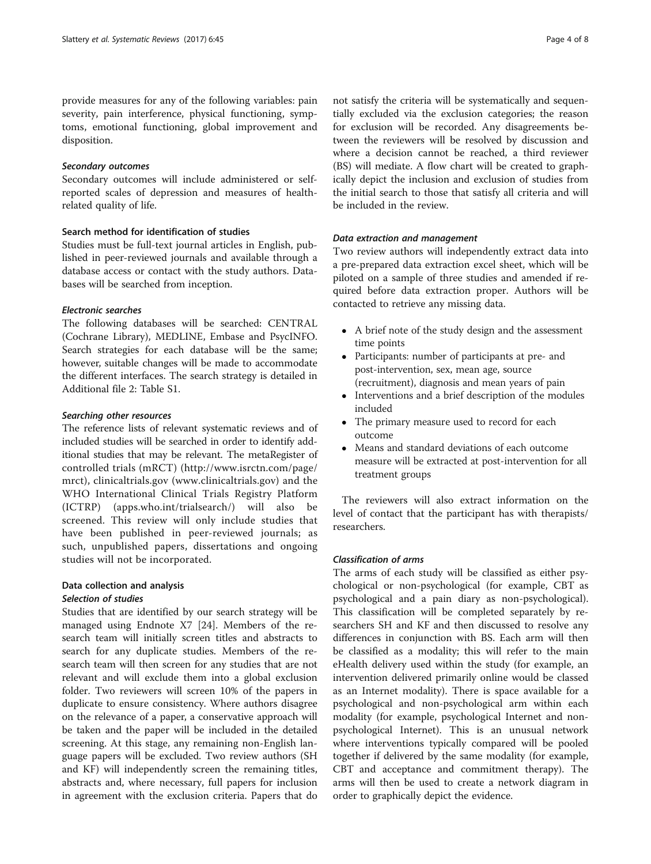provide measures for any of the following variables: pain severity, pain interference, physical functioning, symptoms, emotional functioning, global improvement and disposition.

#### Secondary outcomes

Secondary outcomes will include administered or selfreported scales of depression and measures of healthrelated quality of life.

# Search method for identification of studies

Studies must be full-text journal articles in English, published in peer-reviewed journals and available through a database access or contact with the study authors. Databases will be searched from inception.

# Electronic searches

The following databases will be searched: CENTRAL (Cochrane Library), MEDLINE, Embase and PsycINFO. Search strategies for each database will be the same; however, suitable changes will be made to accommodate the different interfaces. The search strategy is detailed in Additional file [2:](#page-6-0) Table S1.

## Searching other resources

The reference lists of relevant systematic reviews and of included studies will be searched in order to identify additional studies that may be relevant. The metaRegister of controlled trials (mRCT) ([http://www.isrctn.com/page/](http://www.isrctn.com/page/mrct) [mrct\)](http://www.isrctn.com/page/mrct), clinicaltrials.gov [\(www.clinicaltrials.gov](http://www.clinicaltrials.gov/)) and the WHO International Clinical Trials Registry Platform (ICTRP) (apps.who.int/trialsearch/) will also be screened. This review will only include studies that have been published in peer-reviewed journals; as such, unpublished papers, dissertations and ongoing studies will not be incorporated.

# Data collection and analysis Selection of studies

Studies that are identified by our search strategy will be managed using Endnote X7 [\[24](#page-7-0)]. Members of the research team will initially screen titles and abstracts to search for any duplicate studies. Members of the research team will then screen for any studies that are not relevant and will exclude them into a global exclusion folder. Two reviewers will screen 10% of the papers in duplicate to ensure consistency. Where authors disagree on the relevance of a paper, a conservative approach will be taken and the paper will be included in the detailed screening. At this stage, any remaining non-English language papers will be excluded. Two review authors (SH and KF) will independently screen the remaining titles, abstracts and, where necessary, full papers for inclusion in agreement with the exclusion criteria. Papers that do

not satisfy the criteria will be systematically and sequentially excluded via the exclusion categories; the reason for exclusion will be recorded. Any disagreements between the reviewers will be resolved by discussion and where a decision cannot be reached, a third reviewer (BS) will mediate. A flow chart will be created to graphically depict the inclusion and exclusion of studies from the initial search to those that satisfy all criteria and will be included in the review.

## Data extraction and management

Two review authors will independently extract data into a pre-prepared data extraction excel sheet, which will be piloted on a sample of three studies and amended if required before data extraction proper. Authors will be contacted to retrieve any missing data.

- A brief note of the study design and the assessment time points
- Participants: number of participants at pre- and post-intervention, sex, mean age, source (recruitment), diagnosis and mean years of pain
- Interventions and a brief description of the modules included
- The primary measure used to record for each outcome
- Means and standard deviations of each outcome measure will be extracted at post-intervention for all treatment groups

The reviewers will also extract information on the level of contact that the participant has with therapists/ researchers.

# Classification of arms

The arms of each study will be classified as either psychological or non-psychological (for example, CBT as psychological and a pain diary as non-psychological). This classification will be completed separately by researchers SH and KF and then discussed to resolve any differences in conjunction with BS. Each arm will then be classified as a modality; this will refer to the main eHealth delivery used within the study (for example, an intervention delivered primarily online would be classed as an Internet modality). There is space available for a psychological and non-psychological arm within each modality (for example, psychological Internet and nonpsychological Internet). This is an unusual network where interventions typically compared will be pooled together if delivered by the same modality (for example, CBT and acceptance and commitment therapy). The arms will then be used to create a network diagram in order to graphically depict the evidence.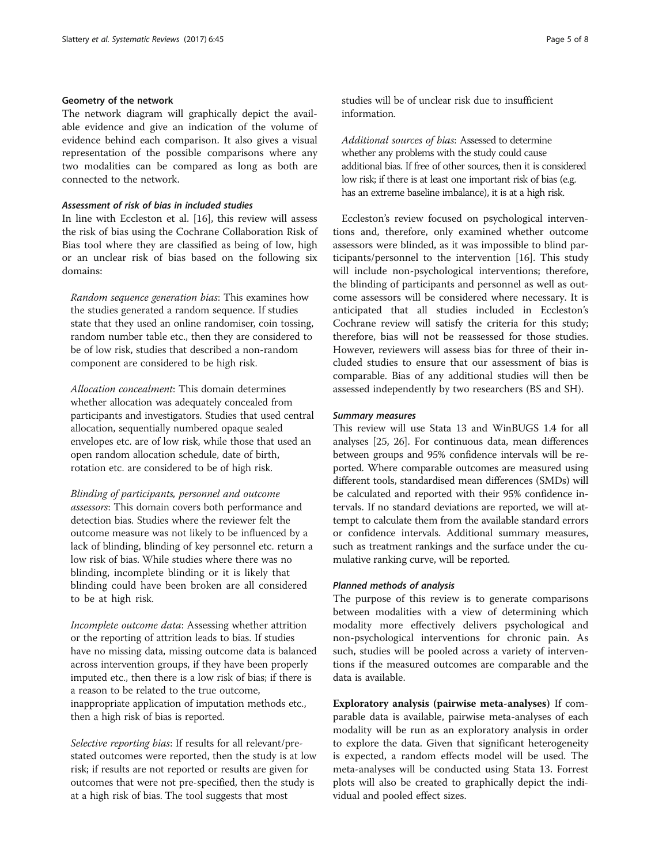# Geometry of the network

The network diagram will graphically depict the available evidence and give an indication of the volume of evidence behind each comparison. It also gives a visual representation of the possible comparisons where any two modalities can be compared as long as both are connected to the network.

# Assessment of risk of bias in included studies

In line with Eccleston et al. [\[16\]](#page-7-0), this review will assess the risk of bias using the Cochrane Collaboration Risk of Bias tool where they are classified as being of low, high or an unclear risk of bias based on the following six domains:

Random sequence generation bias: This examines how the studies generated a random sequence. If studies state that they used an online randomiser, coin tossing, random number table etc., then they are considered to be of low risk, studies that described a non-random component are considered to be high risk.

Allocation concealment: This domain determines whether allocation was adequately concealed from participants and investigators. Studies that used central allocation, sequentially numbered opaque sealed envelopes etc. are of low risk, while those that used an open random allocation schedule, date of birth, rotation etc. are considered to be of high risk.

Blinding of participants, personnel and outcome assessors: This domain covers both performance and detection bias. Studies where the reviewer felt the outcome measure was not likely to be influenced by a lack of blinding, blinding of key personnel etc. return a low risk of bias. While studies where there was no blinding, incomplete blinding or it is likely that blinding could have been broken are all considered to be at high risk.

Incomplete outcome data: Assessing whether attrition or the reporting of attrition leads to bias. If studies have no missing data, missing outcome data is balanced across intervention groups, if they have been properly imputed etc., then there is a low risk of bias; if there is a reason to be related to the true outcome, inappropriate application of imputation methods etc., then a high risk of bias is reported.

Selective reporting bias: If results for all relevant/prestated outcomes were reported, then the study is at low risk; if results are not reported or results are given for outcomes that were not pre-specified, then the study is at a high risk of bias. The tool suggests that most

studies will be of unclear risk due to insufficient information.

Additional sources of bias: Assessed to determine whether any problems with the study could cause additional bias. If free of other sources, then it is considered low risk; if there is at least one important risk of bias (e.g. has an extreme baseline imbalance), it is at a high risk.

Eccleston's review focused on psychological interventions and, therefore, only examined whether outcome assessors were blinded, as it was impossible to blind participants/personnel to the intervention [[16\]](#page-7-0). This study will include non-psychological interventions; therefore, the blinding of participants and personnel as well as outcome assessors will be considered where necessary. It is anticipated that all studies included in Eccleston's Cochrane review will satisfy the criteria for this study; therefore, bias will not be reassessed for those studies. However, reviewers will assess bias for three of their included studies to ensure that our assessment of bias is comparable. Bias of any additional studies will then be assessed independently by two researchers (BS and SH).

#### Summary measures

This review will use Stata 13 and WinBUGS 1.4 for all analyses [\[25](#page-7-0), [26\]](#page-7-0). For continuous data, mean differences between groups and 95% confidence intervals will be reported. Where comparable outcomes are measured using different tools, standardised mean differences (SMDs) will be calculated and reported with their 95% confidence intervals. If no standard deviations are reported, we will attempt to calculate them from the available standard errors or confidence intervals. Additional summary measures, such as treatment rankings and the surface under the cumulative ranking curve, will be reported.

# Planned methods of analysis

The purpose of this review is to generate comparisons between modalities with a view of determining which modality more effectively delivers psychological and non-psychological interventions for chronic pain. As such, studies will be pooled across a variety of interventions if the measured outcomes are comparable and the data is available.

Exploratory analysis (pairwise meta-analyses) If comparable data is available, pairwise meta-analyses of each modality will be run as an exploratory analysis in order to explore the data. Given that significant heterogeneity is expected, a random effects model will be used. The meta-analyses will be conducted using Stata 13. Forrest plots will also be created to graphically depict the individual and pooled effect sizes.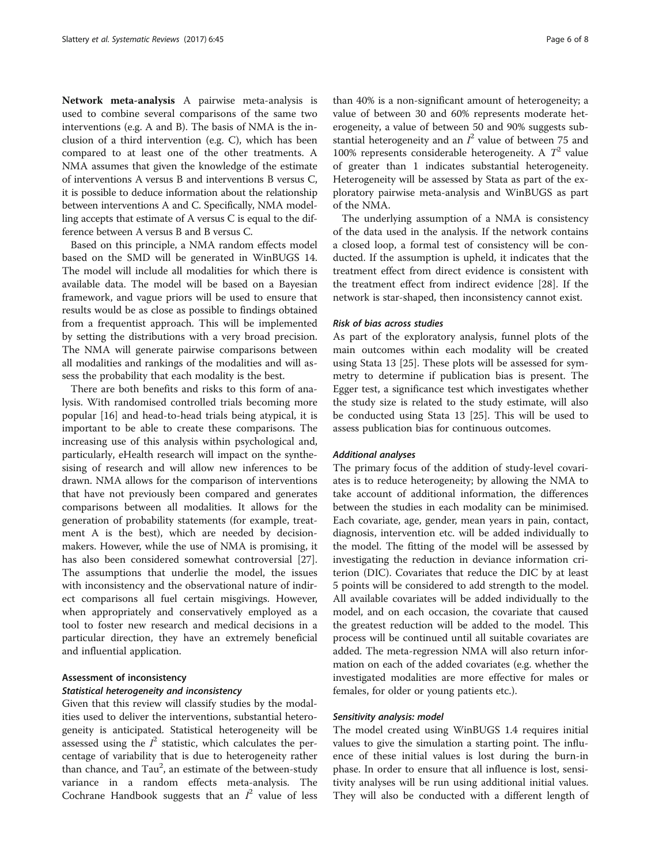Network meta-analysis A pairwise meta-analysis is used to combine several comparisons of the same two interventions (e.g. A and B). The basis of NMA is the inclusion of a third intervention (e.g. C), which has been compared to at least one of the other treatments. A NMA assumes that given the knowledge of the estimate of interventions A versus B and interventions B versus C, it is possible to deduce information about the relationship between interventions A and C. Specifically, NMA modelling accepts that estimate of A versus C is equal to the difference between A versus B and B versus C.

Based on this principle, a NMA random effects model based on the SMD will be generated in WinBUGS 14. The model will include all modalities for which there is available data. The model will be based on a Bayesian framework, and vague priors will be used to ensure that results would be as close as possible to findings obtained from a frequentist approach. This will be implemented by setting the distributions with a very broad precision. The NMA will generate pairwise comparisons between all modalities and rankings of the modalities and will assess the probability that each modality is the best.

There are both benefits and risks to this form of analysis. With randomised controlled trials becoming more popular [[16\]](#page-7-0) and head-to-head trials being atypical, it is important to be able to create these comparisons. The increasing use of this analysis within psychological and, particularly, eHealth research will impact on the synthesising of research and will allow new inferences to be drawn. NMA allows for the comparison of interventions that have not previously been compared and generates comparisons between all modalities. It allows for the generation of probability statements (for example, treatment A is the best), which are needed by decisionmakers. However, while the use of NMA is promising, it has also been considered somewhat controversial [\[27](#page-7-0)]. The assumptions that underlie the model, the issues with inconsistency and the observational nature of indirect comparisons all fuel certain misgivings. However, when appropriately and conservatively employed as a tool to foster new research and medical decisions in a particular direction, they have an extremely beneficial and influential application.

# Assessment of inconsistency Statistical heterogeneity and inconsistency

Given that this review will classify studies by the modalities used to deliver the interventions, substantial heterogeneity is anticipated. Statistical heterogeneity will be assessed using the  $I^2$  statistic, which calculates the percentage of variability that is due to heterogeneity rather than chance, and Tau<sup>2</sup>, an estimate of the between-study variance in a random effects meta-analysis. The Cochrane Handbook suggests that an  $I^2$  value of less

than 40% is a non-significant amount of heterogeneity; a value of between 30 and 60% represents moderate heterogeneity, a value of between 50 and 90% suggests substantial heterogeneity and an  $I^2$  value of between 75 and 100% represents considerable heterogeneity. A  $T^2$  value of greater than 1 indicates substantial heterogeneity. Heterogeneity will be assessed by Stata as part of the exploratory pairwise meta-analysis and WinBUGS as part of the NMA.

The underlying assumption of a NMA is consistency of the data used in the analysis. If the network contains a closed loop, a formal test of consistency will be conducted. If the assumption is upheld, it indicates that the treatment effect from direct evidence is consistent with the treatment effect from indirect evidence [[28\]](#page-7-0). If the network is star-shaped, then inconsistency cannot exist.

#### Risk of bias across studies

As part of the exploratory analysis, funnel plots of the main outcomes within each modality will be created using Stata 13 [[25\]](#page-7-0). These plots will be assessed for symmetry to determine if publication bias is present. The Egger test, a significance test which investigates whether the study size is related to the study estimate, will also be conducted using Stata 13 [\[25\]](#page-7-0). This will be used to assess publication bias for continuous outcomes.

#### Additional analyses

The primary focus of the addition of study-level covariates is to reduce heterogeneity; by allowing the NMA to take account of additional information, the differences between the studies in each modality can be minimised. Each covariate, age, gender, mean years in pain, contact, diagnosis, intervention etc. will be added individually to the model. The fitting of the model will be assessed by investigating the reduction in deviance information criterion (DIC). Covariates that reduce the DIC by at least 5 points will be considered to add strength to the model. All available covariates will be added individually to the model, and on each occasion, the covariate that caused the greatest reduction will be added to the model. This process will be continued until all suitable covariates are added. The meta-regression NMA will also return information on each of the added covariates (e.g. whether the investigated modalities are more effective for males or females, for older or young patients etc.).

#### Sensitivity analysis: model

The model created using WinBUGS 1.4 requires initial values to give the simulation a starting point. The influence of these initial values is lost during the burn-in phase. In order to ensure that all influence is lost, sensitivity analyses will be run using additional initial values. They will also be conducted with a different length of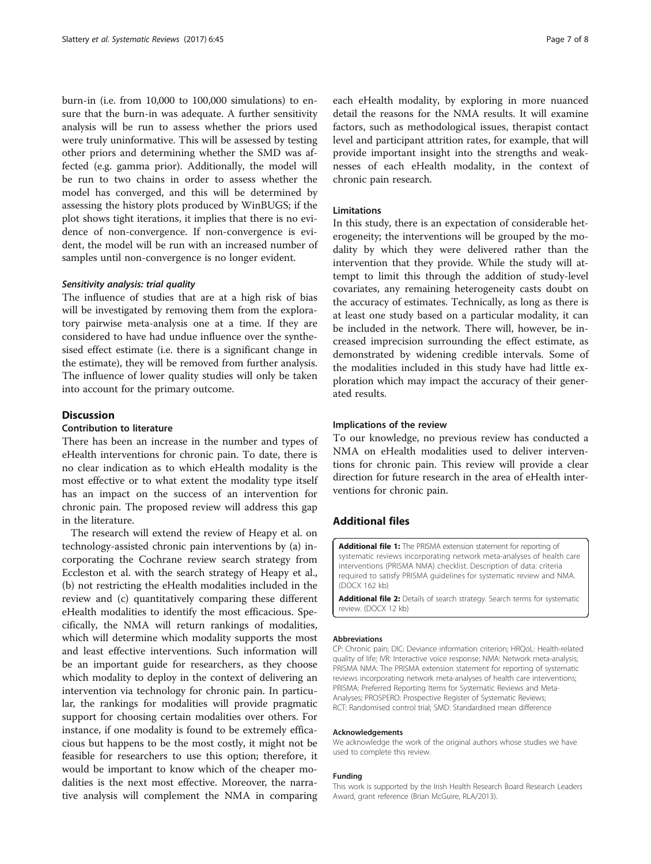<span id="page-6-0"></span>burn-in (i.e. from 10,000 to 100,000 simulations) to ensure that the burn-in was adequate. A further sensitivity analysis will be run to assess whether the priors used were truly uninformative. This will be assessed by testing other priors and determining whether the SMD was affected (e.g. gamma prior). Additionally, the model will be run to two chains in order to assess whether the model has converged, and this will be determined by assessing the history plots produced by WinBUGS; if the plot shows tight iterations, it implies that there is no evidence of non-convergence. If non-convergence is evident, the model will be run with an increased number of samples until non-convergence is no longer evident.

#### Sensitivity analysis: trial quality

The influence of studies that are at a high risk of bias will be investigated by removing them from the exploratory pairwise meta-analysis one at a time. If they are considered to have had undue influence over the synthesised effect estimate (i.e. there is a significant change in the estimate), they will be removed from further analysis. The influence of lower quality studies will only be taken into account for the primary outcome.

# Discussion

#### Contribution to literature

There has been an increase in the number and types of eHealth interventions for chronic pain. To date, there is no clear indication as to which eHealth modality is the most effective or to what extent the modality type itself has an impact on the success of an intervention for chronic pain. The proposed review will address this gap in the literature.

The research will extend the review of Heapy et al. on technology-assisted chronic pain interventions by (a) incorporating the Cochrane review search strategy from Eccleston et al. with the search strategy of Heapy et al., (b) not restricting the eHealth modalities included in the review and (c) quantitatively comparing these different eHealth modalities to identify the most efficacious. Specifically, the NMA will return rankings of modalities, which will determine which modality supports the most and least effective interventions. Such information will be an important guide for researchers, as they choose which modality to deploy in the context of delivering an intervention via technology for chronic pain. In particular, the rankings for modalities will provide pragmatic support for choosing certain modalities over others. For instance, if one modality is found to be extremely efficacious but happens to be the most costly, it might not be feasible for researchers to use this option; therefore, it would be important to know which of the cheaper modalities is the next most effective. Moreover, the narrative analysis will complement the NMA in comparing

each eHealth modality, by exploring in more nuanced detail the reasons for the NMA results. It will examine factors, such as methodological issues, therapist contact level and participant attrition rates, for example, that will provide important insight into the strengths and weaknesses of each eHealth modality, in the context of chronic pain research.

## Limitations

In this study, there is an expectation of considerable heterogeneity; the interventions will be grouped by the modality by which they were delivered rather than the intervention that they provide. While the study will attempt to limit this through the addition of study-level covariates, any remaining heterogeneity casts doubt on the accuracy of estimates. Technically, as long as there is at least one study based on a particular modality, it can be included in the network. There will, however, be increased imprecision surrounding the effect estimate, as demonstrated by widening credible intervals. Some of the modalities included in this study have had little exploration which may impact the accuracy of their generated results.

#### Implications of the review

To our knowledge, no previous review has conducted a NMA on eHealth modalities used to deliver interventions for chronic pain. This review will provide a clear direction for future research in the area of eHealth interventions for chronic pain.

# Additional files

[Additional file 1:](dx.doi.org/10.1186/s13643-017-0414-x) The PRISMA extension statement for reporting of systematic reviews incorporating network meta-analyses of health care interventions (PRISMA NMA) checklist. Description of data: criteria required to satisfy PRISMA guidelines for systematic review and NMA. (DOCX 162 kb)

[Additional file 2:](dx.doi.org/10.1186/s13643-017-0414-x) Details of search strategy. Search terms for systematic review. (DOCX 12 kb)

#### Abbreviations

CP: Chronic pain; DIC: Deviance information criterion; HRQoL: Health-related quality of life; IVR: Interactive voice response; NMA: Network meta-analysis; PRISMA NMA: The PRISMA extension statement for reporting of systematic reviews incorporating network meta-analyses of health care interventions; PRISMA: Preferred Reporting Items for Systematic Reviews and Meta-Analyses; PROSPERO: Prospective Register of Systematic Reviews; RCT: Randomised control trial; SMD: Standardised mean difference

#### Acknowledgements

We acknowledge the work of the original authors whose studies we have used to complete this review.

#### Funding

This work is supported by the Irish Health Research Board Research Leaders Award, grant reference (Brian McGuire, RLA/2013).